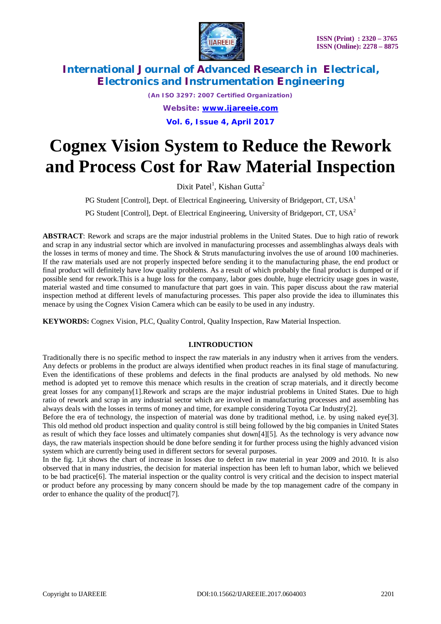

*(An ISO 3297: 2007 Certified Organization) Website: [www.ijareeie.com](http://www.ijareeie.com)* **Vol. 6, Issue 4, April 2017**

# **Cognex Vision System to Reduce the Rework and Process Cost for Raw Material Inspection**

Dixit Patel<sup>1</sup>, Kishan Gutta<sup>2</sup>

PG Student [Control], Dept. of Electrical Engineering, University of Bridgeport, CT,  $USA<sup>1</sup>$ 

PG Student [Control], Dept. of Electrical Engineering, University of Bridgeport, CT, USA<sup>2</sup>

**ABSTRACT**: Rework and scraps are the major industrial problems in the United States. Due to high ratio of rework and scrap in any industrial sector which are involved in manufacturing processes and assemblinghas always deals with the losses in terms of money and time. The Shock & Struts manufacturing involves the use of around 100 machineries. If the raw materials used are not properly inspected before sending it to the manufacturing phase, the end product or final product will definitely have low quality problems. As a result of which probably the final product is dumped or if possible send for rework.This is a huge loss for the company, labor goes double, huge electricity usage goes in waste, material wasted and time consumed to manufacture that part goes in vain. This paper discuss about the raw material inspection method at different levels of manufacturing processes. This paper also provide the idea to illuminates this menace by using the Cognex Vision Camera which can be easily to be used in any industry.

**KEYWORDS:** Cognex Vision, PLC, Quality Control, Quality Inspection, Raw Material Inspection.

### **I.INTRODUCTION**

Traditionally there is no specific method to inspect the raw materials in any industry when it arrives from the venders. Any defects or problems in the product are always identified when product reaches in its final stage of manufacturing. Even the identifications of these problems and defects in the final products are analysed by old methods. No new method is adopted yet to remove this menace which results in the creation of scrap materials, and it directly become great losses for any company[1].Rework and scraps are the major industrial problems in United States. Due to high ratio of rework and scrap in any industrial sector which are involved in manufacturing processes and assembling has always deals with the losses in terms of money and time, for example considering Toyota Car Industry[2].

Before the era of technology, the inspection of material was done by traditional method, i.e. by using naked eye[3]. This old method old product inspection and quality control is still being followed by the big companies in United States as result of which they face losses and ultimately companies shut down[4][5]. As the technology is very advance now days, the raw materials inspection should be done before sending it for further process using the highly advanced vision system which are currently being used in different sectors for several purposes.

In the fig. 1, it shows the chart of increase in losses due to defect in raw material in year 2009 and 2010. It is also observed that in many industries, the decision for material inspection has been left to human labor, which we believed to be bad practice[6]. The material inspection or the quality control is very critical and the decision to inspect material or product before any processing by many concern should be made by the top management cadre of the company in order to enhance the quality of the product[7].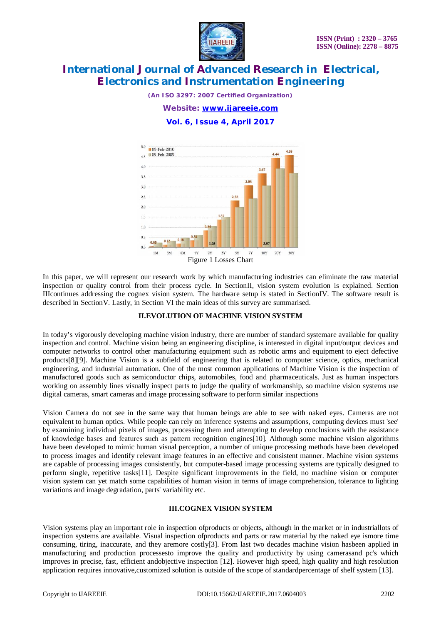

*(An ISO 3297: 2007 Certified Organization)*

*Website: [www.ijareeie.com](http://www.ijareeie.com)*

**Vol. 6, Issue 4, April 2017**



In this paper, we will represent our research work by which manufacturing industries can eliminate the raw material inspection or quality control from their process cycle. In SectionII, vision system evolution is explained. Section IIIcontinues addressing the cognex vision system. The hardware setup is stated in SectionIV. The software result is described in SectionV. Lastly, in Section VI the main ideas of this survey are summarised.

### **II.EVOLUTION OF MACHINE VISION SYSTEM**

In today's vigorously developing machine vision industry, there are number of standard systemare available for quality inspection and control. Machine vision being an engineering discipline, is interested in digital input/output devices and computer networks to control other manufacturing equipment such as robotic arms and equipment to eject defective products[8][9]. Machine Vision is a subfield of engineering that is related to computer science, optics, mechanical engineering, and industrial automation. One of the most common applications of Machine Vision is the inspection of manufactured goods such as semiconductor chips, automobiles, food and pharmaceuticals. Just as human inspectors working on assembly lines visually inspect parts to judge the quality of workmanship, so machine vision systems use digital cameras, smart cameras and image processing software to perform similar inspections

Vision Camera do not see in the same way that human beings are able to see with naked eyes. Cameras are not equivalent to human optics. While people can rely on inference systems and assumptions, computing devices must 'see' by examining individual pixels of images, processing them and attempting to develop conclusions with the assistance of knowledge bases and features such as pattern recognition engines[10]. Although some machine vision algorithms have been developed to mimic human visual perception, a number of unique processing methods have been developed to process images and identify relevant image features in an effective and consistent manner. Machine vision systems are capable of processing images consistently, but computer-based image processing systems are typically designed to perform single, repetitive tasks[11]. Despite significant improvements in the field, no machine vision or computer vision system can yet match some capabilities of human vision in terms of image comprehension, tolerance to lighting variations and image degradation, parts' variability etc.

### **III.COGNEX VISION SYSTEM**

Vision systems play an important role in inspection ofproducts or objects, although in the market or in industriallots of inspection systems are available. Visual inspection ofproducts and parts or raw material by the naked eye ismore time consuming, tiring, inaccurate, and they aremore costly[3]. From last two decades machine vision hasbeen applied in manufacturing and production processesto improve the quality and productivity by using camerasand pc's which improves in precise, fast, efficient andobjective inspection [12]. However high speed, high quality and high resolution application requires innovative,customized solution is outside of the scope of standardpercentage of shelf system [13].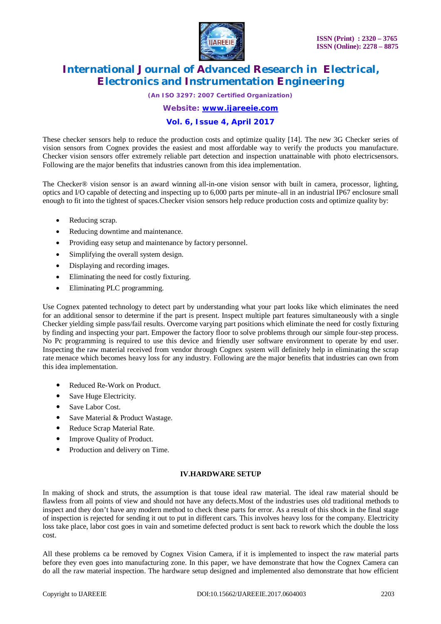

*(An ISO 3297: 2007 Certified Organization)*

*Website: [www.ijareeie.com](http://www.ijareeie.com)*

### **Vol. 6, Issue 4, April 2017**

These checker sensors help to reduce the production costs and optimize quality [14]. The new 3G Checker series of vision sensors from Cognex provides the easiest and most affordable way to verify the products you manufacture. Checker vision sensors offer extremely reliable part detection and inspection unattainable with photo electricsensors. Following are the major benefits that industries canown from this idea implementation.

The Checker® vision sensor is an award winning all-in-one vision sensor with built in camera, processor, lighting, optics and I/O capable of detecting and inspecting up to 6,000 parts per minute–all in an industrial IP67 enclosure small enough to fit into the tightest of spaces.Checker vision sensors help reduce production costs and optimize quality by:

- Reducing scrap.
- Reducing downtime and maintenance.
- Providing easy setup and maintenance by factory personnel.
- Simplifying the overall system design.
- Displaying and recording images.
- Eliminating the need for costly fixturing.
- Eliminating PLC programming.

Use Cognex patented technology to detect part by understanding what your part looks like which eliminates the need for an additional sensor to determine if the part is present. Inspect multiple part features simultaneously with a single Checker yielding simple pass/fail results. Overcome varying part positions which eliminate the need for costly fixturing by finding and inspecting your part. Empower the factory floor to solve problems through our simple four-step process. No Pc programming is required to use this device and friendly user software environment to operate by end user. Inspecting the raw material received from vendor through Cognex system will definitely help in eliminating the scrap rate menace which becomes heavy loss for any industry. Following are the major benefits that industries can own from this idea implementation.

- Reduced Re-Work on Product.
- Save Huge Electricity.
- Save Labor Cost.
- Save Material & Product Wastage.
- Reduce Scrap Material Rate.
- Improve Quality of Product.
- Production and delivery on Time.

### **IV.HARDWARE SETUP**

In making of shock and struts, the assumption is that touse ideal raw material. The ideal raw material should be flawless from all points of view and should not have any defects.Most of the industries uses old traditional methods to inspect and they don't have any modern method to check these parts for error. As a result of this shock in the final stage of inspection is rejected for sending it out to put in different cars. This involves heavy loss for the company. Electricity loss take place, labor cost goes in vain and sometime defected product is sent back to rework which the double the loss cost.

All these problems ca be removed by Cognex Vision Camera, if it is implemented to inspect the raw material parts before they even goes into manufacturing zone. In this paper, we have demonstrate that how the Cognex Camera can do all the raw material inspection. The hardware setup designed and implemented also demonstrate that how efficient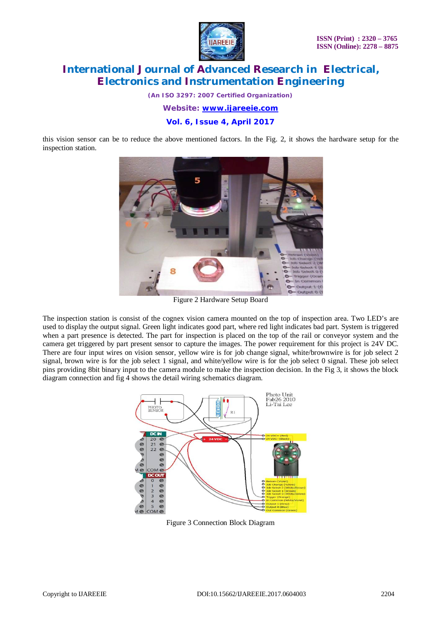

*(An ISO 3297: 2007 Certified Organization)*

*Website: [www.ijareeie.com](http://www.ijareeie.com)*

**Vol. 6, Issue 4, April 2017**

this vision sensor can be to reduce the above mentioned factors. In the Fig. 2, it shows the hardware setup for the inspection station.



Figure 2 Hardware Setup Board

The inspection station is consist of the cognex vision camera mounted on the top of inspection area. Two LED's are used to display the output signal. Green light indicates good part, where red light indicates bad part. System is triggered when a part presence is detected. The part for inspection is placed on the top of the rail or conveyor system and the camera get triggered by part present sensor to capture the images. The power requirement for this project is 24V DC. There are four input wires on vision sensor, yellow wire is for job change signal, white/brownwire is for job select 2 signal, brown wire is for the job select 1 signal, and white/yellow wire is for the job select 0 signal. These job select pins providing 8bit binary input to the camera module to make the inspection decision. In the Fig 3, it shows the block diagram connection and fig 4 shows the detail wiring schematics diagram.



Figure 3 Connection Block Diagram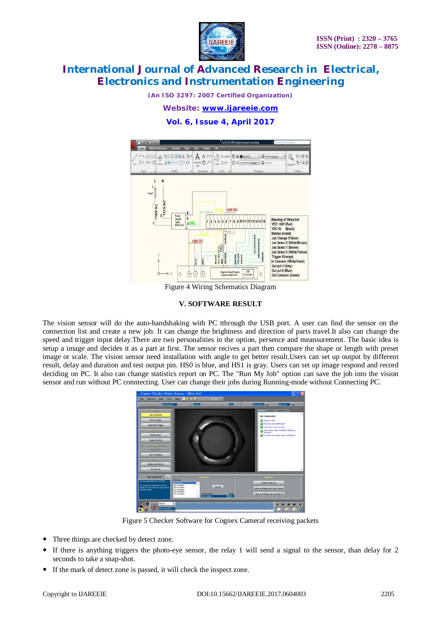

*(An ISO 3297: 2007 Certified Organization)*

*Website: [www.ijareeie.com](http://www.ijareeie.com)*

**Vol. 6, Issue 4, April 2017**



Figure 4 Wiring Schematics Diagram

#### **V. SOFTWARE RESULT**

The vision sensor will do the auto-handshaking with PC tthrough the USB port. A user can find the sensor on the connection list and create a new job. It can change the brightness and direction of parts travel.It also can change the speed and trigger input delay.There are two personalities in the option, persence and meansurement. The basic idea is setup a image and decides it as a part at first. The sensor recives a part then compare the shape or length with preset image or scale. The vision sensor need installation with angle to get better result.Users can set up output by different result, delay and duration and test output pin. HS0 is blue, and HS1 is gray. Users can set up image respond and record deciding on PC. It also can change statistics report on PC. The "Run My Job" option can save the job into the vision sensor and run without PC conntecting. User can change their jobs during Running-mode without Connecting PC.



Figure 5 Checker Software for Cognex Cameraf receiving packets

- Three things are checked by detect zone.
- If there is anything triggers the photo-eye sensor, the relay 1 will send a signal to the sensor, than delay for 2 seconds to take a snap-shot.
- If the mark of detect zone is passed, it will check the inspect zone.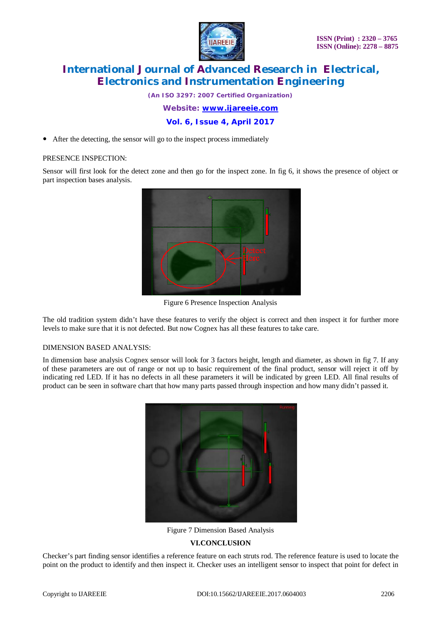

*(An ISO 3297: 2007 Certified Organization)*

*Website: [www.ijareeie.com](http://www.ijareeie.com)*

**Vol. 6, Issue 4, April 2017**

After the detecting, the sensor will go to the inspect process immediately

### PRESENCE INSPECTION:

Sensor will first look for the detect zone and then go for the inspect zone. In fig 6, it shows the presence of object or part inspection bases analysis.



Figure 6 Presence Inspection Analysis

The old tradition system didn't have these features to verify the object is correct and then inspect it for further more levels to make sure that it is not defected. But now Cognex has all these features to take care.

### DIMENSION BASED ANALYSIS:

In dimension base analysis Cognex sensor will look for 3 factors height, length and diameter, as shown in fig 7. If any of these parameters are out of range or not up to basic requirement of the final product, sensor will reject it off by indicating red LED. If it has no defects in all these parameters it will be indicated by green LED. All final results of product can be seen in software chart that how many parts passed through inspection and how many didn't passed it.



Figure 7 Dimension Based Analysis

### **VI.CONCLUSION**

Checker's part finding sensor identifies a reference feature on each struts rod. The reference feature is used to locate the point on the product to identify and then inspect it. Checker uses an intelligent sensor to inspect that point for defect in